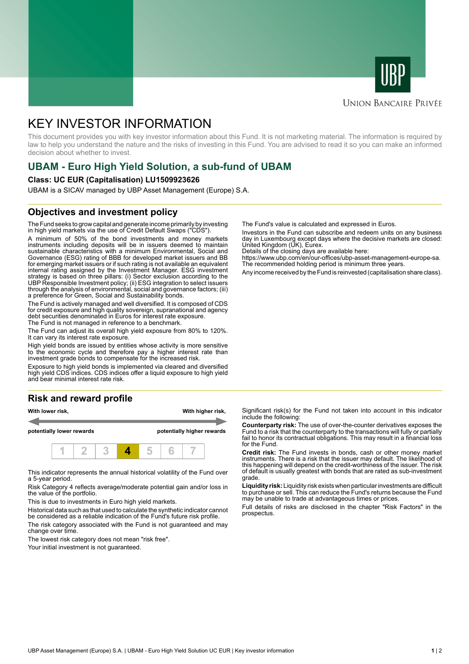



# **UNION BANCAIRE PRIVÉE**

# KEY INVESTOR INFORMATION

This document provides you with key investor information about this Fund. It is not marketing material. The information is required by law to help you understand the nature and the risks of investing in this Fund. You are advised to read it so you can make an informed decision about whether to invest.

# **UBAM - Euro High Yield Solution, a sub-fund of UBAM**

#### **Class: UC EUR (Capitalisation) LU1509923626**

UBAM is a SICAV managed by UBP Asset Management (Europe) S.A.

# **Objectives and investment policy**

The Fund seeks to grow capital and generate income primarily by investing in high yield markets via the use of Credit Default Swaps ("CDS").

A minimum of 50% of the bond investments and money markets instruments including deposits will be in issuers deemed to maintain sustainable characteristics with a minimum Environmental, Social and Governance (ESG) rating of BBB for developed market issuers and BB for emerging market issuers or if such rating is not available an equivalent internal rating assigned by the Investment Manager. ESG investment strategy is based on three pillars: (i) Sector exclusion according to the UBP Responsible Investment policy; (ii) ESG integration to select issuers through the analysis of environmental, social and governance factors; (iii) a preference for Green, Social and Sustainability bonds.

The Fund is actively managed and well diversified. It is composed of CDS for credit exposure and high quality sovereign, supranational and agency debt securities denominated in Euros for interest rate exposure. The Fund is not managed in reference to a benchmark.

The Fund can adjust its overall high yield exposure from 80% to 120%. It can vary its interest rate exposure.

High yield bonds are issued by entities whose activity is more sensitive to the economic cycle and therefore pay a higher interest rate than investment grade bonds to compensate for the increased risk.

Exposure to high yield bonds is implemented via cleared and diversified high yield CDS indices. CDS indices offer a liquid exposure to high yield and bear minimal interest rate risk.

#### **Risk and reward profile**



This indicator represents the annual historical volatility of the Fund over a 5-year period.

Risk Category 4 reflects average/moderate potential gain and/or loss in the value of the portfolio.

This is due to investments in Euro high yield markets.

Historical data such as that used to calculate the synthetic indicator cannot be considered as a reliable indication of the Fund's future risk profile. The risk category associated with the Fund is not guaranteed and may

change over time. The lowest risk category does not mean "risk free".

Your initial investment is not guaranteed.

The Fund's value is calculated and expressed in Euros.

Investors in the Fund can subscribe and redeem units on any business day in Luxembourg except days where the decisive markets are closed: United Kingdom (UK), Eurex.

Details of the closing days are available here:

https://www.ubp.com/en/our-offices/ubp-asset-management-europe-sa. The recommended holding period is minimum three years.

Any income received by the Fund is reinvested (capitalisation share class).

Significant risk(s) for the Fund not taken into account in this indicator include the following:

**Counterparty risk:** The use of over-the-counter derivatives exposes the Fund to a risk that the counterparty to the transactions will fully or partially fail to honor its contractual obligations. This may result in a financial loss for the Fund.

**Credit risk:** The Fund invests in bonds, cash or other money market instruments. There is a risk that the issuer may default. The likelihood of this happening will depend on the credit-worthiness of the issuer. The risk of default is usually greatest with bonds that are rated as sub-investment grade.

**Liquidity risk:** Liquidity risk exists when particular investments are difficult to purchase or sell. This can reduce the Fund's returns because the Fund may be unable to trade at advantageous times or prices.

Full details of risks are disclosed in the chapter "Risk Factors" in the prospectus.